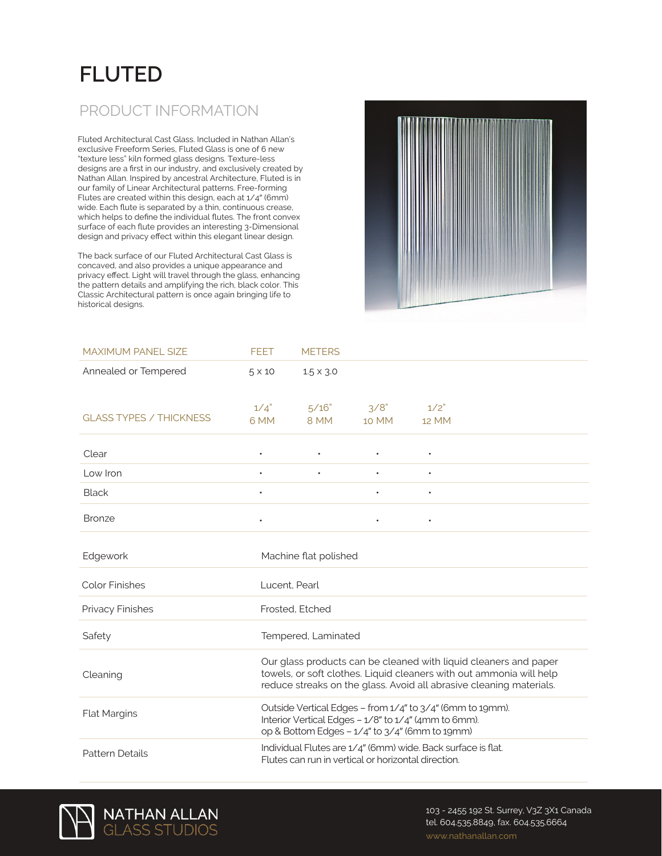## **FLUTED**

## PRODUCT INFORMATION

Fluted Architectural Cast Glass. Included in Nathan Allan's exclusive Freeform Series, Fluted Glass is one of 6 new "texture less" kiln formed glass designs. Texture-less designs are a first in our industry, and exclusively created by Nathan Allan. Inspired by ancestral Architecture, Fluted is in our family of Linear Architectural patterns. Free-forming Flutes are created within this design, each at 1/4" (6mm) wide. Each flute is separated by a thin, continuous crease, which helps to define the individual flutes. The front convex surface of each flute provides an interesting 3-Dimensional design and privacy effect within this elegant linear design.

The back surface of our Fluted Architectural Cast Glass is concaved, and also provides a unique appearance and privacy effect. Light will travel through the glass, enhancing the pattern details and amplifying the rich, black color. This Classic Architectural pattern is once again bringing life to historical designs.



| <b>MAXIMUM PANEL SIZE</b>      | <b>FEET</b>                                                                                                                                                         | <b>METERS</b>                                                                                                                                                                                                  |               |               |  |  |
|--------------------------------|---------------------------------------------------------------------------------------------------------------------------------------------------------------------|----------------------------------------------------------------------------------------------------------------------------------------------------------------------------------------------------------------|---------------|---------------|--|--|
| Annealed or Tempered           | $5 \times 10$                                                                                                                                                       | $1.5 \times 3.0$                                                                                                                                                                                               |               |               |  |  |
| <b>GLASS TYPES / THICKNESS</b> | 1/4"<br>6 MM                                                                                                                                                        | 5/16"<br>8 MM                                                                                                                                                                                                  | 3/8"<br>10 MM | 1/2"<br>12 MM |  |  |
| Clear                          |                                                                                                                                                                     |                                                                                                                                                                                                                |               |               |  |  |
| Low Iron                       | $\bullet$                                                                                                                                                           |                                                                                                                                                                                                                |               | $\bullet$     |  |  |
| <b>Black</b>                   | ٠                                                                                                                                                                   |                                                                                                                                                                                                                |               | $\bullet$     |  |  |
| <b>Bronze</b>                  |                                                                                                                                                                     |                                                                                                                                                                                                                |               | $\bullet$     |  |  |
| Edgework                       |                                                                                                                                                                     | Machine flat polished                                                                                                                                                                                          |               |               |  |  |
| <b>Color Finishes</b>          | Lucent. Pearl                                                                                                                                                       |                                                                                                                                                                                                                |               |               |  |  |
| Privacy Finishes               |                                                                                                                                                                     | Frosted, Etched                                                                                                                                                                                                |               |               |  |  |
| Safety                         | Tempered, Laminated                                                                                                                                                 |                                                                                                                                                                                                                |               |               |  |  |
| Cleaning                       |                                                                                                                                                                     | Our glass products can be cleaned with liquid cleaners and paper<br>towels, or soft clothes. Liquid cleaners with out ammonia will help<br>reduce streaks on the glass. Avoid all abrasive cleaning materials. |               |               |  |  |
| Flat Margins                   | Outside Vertical Edges - from 1/4" to 3/4" (6mm to 19mm).<br>Interior Vertical Edges - 1/8" to 1/4" (4mm to 6mm).<br>op & Bottom Edges - 1/4" to 3/4" (6mm to 19mm) |                                                                                                                                                                                                                |               |               |  |  |
| <b>Pattern Details</b>         | Individual Flutes are 1/4" (6mm) wide. Back surface is flat.<br>Flutes can run in vertical or horizontal direction.                                                 |                                                                                                                                                                                                                |               |               |  |  |



103 - 2455 192 St. Surrey, V3Z 3X1 Canada tel. 604.535.8849, fax. 604.535.6664 www.nathanallan.com